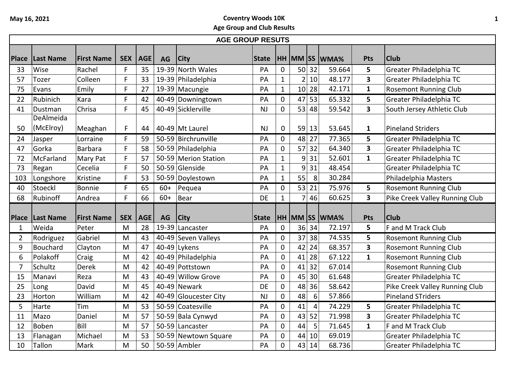|              | <b>AGE GROUP RESUTS</b> |                   |            |            |           |                                      |              |                  |                 |                 |                      |                              |                                                              |
|--------------|-------------------------|-------------------|------------|------------|-----------|--------------------------------------|--------------|------------------|-----------------|-----------------|----------------------|------------------------------|--------------------------------------------------------------|
| <b>Place</b> | <b>Last Name</b>        | <b>First Name</b> | <b>SEX</b> | <b>AGE</b> | <b>AG</b> | <b>City</b>                          | <b>State</b> |                  |                 |                 | <b>HH MM SS WMA%</b> | Pts                          | <b>Club</b>                                                  |
| 33           | Wise                    | Rachel            | F          | 35         |           | 19-39 North Wales                    | PA           | 0                | 50 <sup>1</sup> | 32              | 59.664               | 5                            | Greater Philadelphia TC                                      |
| 57           | Tozer                   | Colleen           | F          | 33         |           | 19-39 Philadelphia                   | PA           | $\mathbf{1}$     | $\overline{2}$  | 10              | 48.177               | 3                            | Greater Philadelphia TC                                      |
| 75           | Evans                   | Emily             | F          | 27         |           | 19-39 Macungie                       | PA           | $\mathbf{1}$     | 10 <sup>1</sup> | 28              | 42.171               | $\mathbf{1}$                 | <b>Rosemont Running Club</b>                                 |
| 22           | Rubinich                | Kara              | F          | 42         |           | 40-49 Downingtown                    | PA           | 0                | 47              | 53              | 65.332               | 5                            | Greater Philadelphia TC                                      |
| 41           | Dustman                 | Chrisa            | F          | 45         |           | 40-49 Sicklerville                   | <b>NJ</b>    | 0                | 53              | 48              | 59.542               | $\overline{\mathbf{3}}$      | South Jersey Athletic Club                                   |
|              | DeAlmeida               |                   |            |            |           |                                      |              |                  |                 |                 |                      |                              |                                                              |
| 50           | (McElroy)               | Meaghan           | F          | 44         |           | 40-49 Mt Laurel                      | <b>NJ</b>    | 0                |                 | 59 13           | 53.645               | $\mathbf{1}$                 | <b>Pineland Striders</b>                                     |
| 24           | Jasper                  | Lorraine          | F          | 59         |           | 50-59 Birchrunville                  | PA           | 0                | 48              | 27              | 77.365               | 5                            | Greater Philadelphia TC                                      |
| 47           | Gorka                   | <b>Barbara</b>    | F          | 58         |           | 50-59 Philadelphia                   | PA           | 0                | 57              | 32              | 64.340               | $\overline{\mathbf{3}}$      | Greater Philadelphia TC                                      |
| 72           | McFarland               | Mary Pat          | F          | 57         |           | 50-59 Merion Station                 | PA           | $\mathbf{1}$     | 9               | 31              | 52.601               | $\mathbf{1}$                 | Greater Philadelphia TC                                      |
| 73           | Regan                   | Cecelia           | F          | 50         |           | 50-59 Glenside                       | PA           | $\mathbf{1}$     | 9               | 31              | 48.454               |                              | Greater Philadelphia TC                                      |
| 103          | Longshore               | Kristine          | F          | 53         |           | 50-59 Doylestown                     | PA           | $\mathbf{1}$     | 55              | 8               | 30.284               |                              | Philadelphia Masters                                         |
| 40           | Stoeckl                 | Bonnie            | F          | 65         | $60+$     | Pequea                               | PA           | 0                | 53              | 21              | 75.976               | 5                            | <b>Rosemont Running Club</b>                                 |
| 68           | Rubinoff                | Andrea            | F          | 66         | $60+$     | <b>Bear</b>                          | DE           | $\mathbf{1}$     | 7               | 46              | 60.625               | $\overline{\mathbf{3}}$      | Pike Creek Valley Running Club                               |
|              |                         |                   |            |            |           |                                      |              |                  |                 |                 |                      |                              |                                                              |
| <b>Place</b> | Last Name               | <b>First Name</b> | <b>SEX</b> | <b>AGE</b> | <b>AG</b> | <b>City</b>                          | <b>State</b> |                  |                 |                 | HH MM SS WMA%        | Pts<br>5                     | <b>Club</b>                                                  |
| 1            | Weida                   | Peter             | M          | 28         |           | 19-39 Lancaster                      | PA           | 0                |                 | 36 34           | 72.197               |                              | F and M Track Club                                           |
| 2            | Rodriguez               | Gabriel           | M          | 43         |           | 40-49 Seven Valleys                  | PA           | 0                | 37              | 38<br>24        | 74.535<br>68.357     | 5<br>$\overline{\mathbf{3}}$ | <b>Rosemont Running Club</b>                                 |
| 9            | Bouchard<br>Polakoff    | Clayton           | M<br>M     | 47<br>42   |           | $40-49$ Lykens<br>40-49 Philadelphia | PA<br>PA     | 0<br>$\mathbf 0$ | 42<br>41        | 28              | 67.122               | $\mathbf{1}$                 | <b>Rosemont Running Club</b><br><b>Rosemont Running Club</b> |
| 6<br>7       | Schultz                 | Craig             | M          | 42         |           | 40-49 Pottstown                      | PA           | $\mathbf 0$      | 41              | 32              | 67.014               |                              | <b>Rosemont Running Club</b>                                 |
| 15           | Manavi                  | Derek<br>Reza     | M          | 43         |           | 40-49 Willow Grove                   | PA           | 0                | 45              | 30              | 61.648               |                              | Greater Philadelphia TC                                      |
| 25           | Long                    | David             | M          | 45         |           | 40-49 Newark                         | DE           | 0                | 48              | 36              | 58.642               |                              | Pike Creek Valley Running Club                               |
| 23           | Horton                  | William           | M          | 42         |           | 40-49 Gloucester City                | <b>NJ</b>    | $\mathbf 0$      | 48              | $6\phantom{1}6$ | 57.866               |                              | <b>Pineland STriders</b>                                     |
| 5            | Harte                   | Tim               | M          | 53         |           | 50-59 Coatesville                    | PA           | 0                | 41              | $\overline{4}$  | 74.229               | 5                            | Greater Philadelphia TC                                      |
| 11           | Mazo                    | Daniel            | M          | 57         |           | 50-59 Bala Cynwyd                    | PA           | 0                | 43              | 52              | 71.998               | $\mathbf{3}$                 | Greater Philadelphia TC                                      |
| 12           | <b>Boben</b>            | Bill              | M          | 57         |           | 50-59 Lancaster                      | PA           | 0                | 44              | 5               | 71.645               | $\mathbf{1}$                 | F and M Track Club                                           |
| 13           |                         | Michael           | M          | 53         |           | 50-59 Newtown Square                 | PA           | 0                | 44              | 10              | 69.019               |                              | Greater Philadelphia TC                                      |
| 10           | Flanagan<br>Tallon      | Mark              | M          | 50         |           | 50-59 Ambler                         | PA           | 0                | 43              | 14              | 68.736               |                              | Greater Philadelphia TC                                      |
|              |                         |                   |            |            |           |                                      |              |                  |                 |                 |                      |                              |                                                              |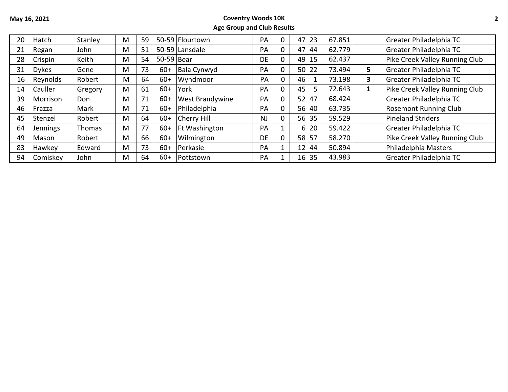## **May 16, 2021 Coventry Woods 10K Age Group and Club Results**

| 20 | Hatch        | Stanley       | M | 59 |            | 50-59 Flourtown        | PA        | 0            | 47 <sup>1</sup> | 23    | 67.851 |    | Greater Philadelphia TC        |
|----|--------------|---------------|---|----|------------|------------------------|-----------|--------------|-----------------|-------|--------|----|--------------------------------|
| 21 | Regan        | John          | M | 51 |            | 50-59 Lansdale         | PA        | 0            | 47              | 44    | 62.779 |    | Greater Philadelphia TC        |
| 28 | Crispin      | Keith         | M | 54 | 50-59 Bear |                        | DE        | 0            | 49              | 15    | 62.437 |    | Pike Creek Valley Running Club |
| 31 | <b>Dykes</b> | Gene          | M | 73 | $60+$      | Bala Cynwyd            | PА        | 0            |                 | 50 22 | 73.494 | 5. | Greater Philadelphia TC        |
| 16 | Reynolds     | Robert        | M | 64 | $60+$      | Wyndmoor               | PA        | 0            | 46              |       | 73.198 | 3  | Greater Philadelphia TC        |
| 14 | Cauller      | Gregory       | M | 61 | $60+$      | York                   | PA        | 0            | 45              | 5.    | 72.643 |    | Pike Creek Valley Running Club |
| 39 | Morrison     | Don           | M | 71 | $60+$      | <b>West Brandywine</b> | PA        | 0            | 52 <sub>1</sub> | 47    | 68.424 |    | Greater Philadelphia TC        |
| 46 | Frazza       | Mark          | M | 71 | $60+$      | Philadelphia           | PA        | 0            | 56              | -40l  | 63.735 |    | <b>Rosemont Running Club</b>   |
| 45 | Stenzel      | Robert        | M | 64 | $60+$      | Cherry Hill            | <b>NJ</b> | $\mathbf 0$  | 56              | 35    | 59.529 |    | <b>Pineland Striders</b>       |
| 64 | Jennings     | Thomas        | M | 77 | $60+$      | <b>Ft Washington</b>   | PA        |              | 61              | 20    | 59.422 |    | Greater Philadelphia TC        |
| 49 | Mason        | Robert        | M | 66 | $60+$      | Wilmington             | DE        | 0            | 58              | 57    | 58.270 |    | Pike Creek Valley Running Club |
| 83 | Hawkey       | <b>Edward</b> | M | 73 | $60+$      | Perkasie               | PA        | $\mathbf{1}$ | 12 <sub>1</sub> | 44    | 50.894 |    | Philadelphia Masters           |
| 94 | Comiskey     | John          | M | 64 | $60+$      | Pottstown              | PA        |              |                 | 16 35 | 43.983 |    | Greater Philadelphia TC        |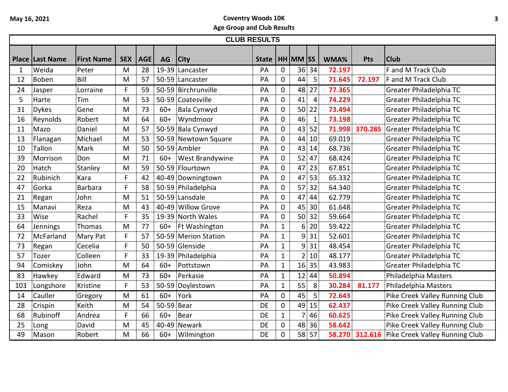|     | <b>CLUB RESULTS</b>    |                   |            |            |            |                        |              |              |                |                |        |            |                                               |
|-----|------------------------|-------------------|------------|------------|------------|------------------------|--------------|--------------|----------------|----------------|--------|------------|-----------------------------------------------|
|     | <b>Place Last Name</b> | <b>First Name</b> | <b>SEX</b> | <b>AGE</b> | AG         | City                   | <b>State</b> |              | $HH$ MM SS     |                | WMA%   | <b>Pts</b> | <b>Club</b>                                   |
| 1   | Weida                  | Peter             | M          | 28         |            | 19-39 Lancaster        | PA           | 0            |                | 36 34          | 72.197 |            | F and M Track Club                            |
| 12  | Boben                  | Bill              | M          | 57         |            | 50-59 Lancaster        | PA           | 0            | 44             | 5              | 71.645 | 72.197     | F and M Track Club                            |
| 24  | Jasper                 | Lorraine          | F          | 59         |            | 50-59 Birchrunville    | PA           | 0            | 48             | 27             | 77.365 |            | Greater Philadelphia TC                       |
| 5   | Harte                  | Tim               | M          | 53         |            | 50-59 Coatesville      | PA           | 0            | 41             | $\overline{4}$ | 74.229 |            | Greater Philadelphia TC                       |
| 31  | <b>Dykes</b>           | Gene              | M          | 73         | $60+$      | Bala Cynwyd            | PA           | 0            | 50             | 22             | 73.494 |            | Greater Philadelphia TC                       |
| 16  | Reynolds               | Robert            | M          | 64         | $60+$      | Wyndmoor               | PA           | 0            | 46             | $\mathbf{1}$   | 73.198 |            | Greater Philadelphia TC                       |
| 11  | Mazo                   | Daniel            | M          | 57         |            | 50-59 Bala Cynwyd      | PA           | 0            | 43             | 52             | 71.998 | 370.285    | Greater Philadelphia TC                       |
| 13  | Flanagan               | Michael           | M          | 53         |            | 50-59 Newtown Square   | PA           | 0            | 44             | 10             | 69.019 |            | Greater Philadelphia TC                       |
| 10  | Tallon                 | Mark              | M          | 50         |            | 50-59 Ambler           | PA           | 0            | 43             | 14             | 68.736 |            | Greater Philadelphia TC                       |
| 39  | Morrison               | Don               | M          | 71         | $60+$      | <b>West Brandywine</b> | PA           | 0            | 52             | 47             | 68.424 |            | Greater Philadelphia TC                       |
| 20  | Hatch                  | Stanley           | M          | 59         |            | 50-59 Flourtown        | PA           | 0            | 47             | 23             | 67.851 |            | Greater Philadelphia TC                       |
| 22  | Rubinich               | Kara              | F          | 42         |            | 40-49 Downingtown      | PA           | 0            | 47             | 53             | 65.332 |            | Greater Philadelphia TC                       |
| 47  | Gorka                  | <b>Barbara</b>    | F          | 58         |            | 50-59 Philadelphia     | PA           | 0            | 57             | 32             | 64.340 |            | Greater Philadelphia TC                       |
| 21  | Regan                  | John              | M          | 51         |            | 50-59 Lansdale         | PA           | 0            | 47             | 44             | 62.779 |            | Greater Philadelphia TC                       |
| 15  | Manavi                 | Reza              | M          | 43         |            | 40-49 Willow Grove     | PA           | 0            | 45             | 30             | 61.648 |            | Greater Philadelphia TC                       |
| 33  | Wise                   | Rachel            | F          | 35         |            | 19-39 North Wales      | PA           | 0            | 50             | 32             | 59.664 |            | Greater Philadelphia TC                       |
| 64  | Jennings               | Thomas            | M          | 77         | $60+$      | Ft Washington          | PA           | $\mathbf{1}$ | 6              | 20             | 59.422 |            | Greater Philadelphia TC                       |
| 72  | McFarland              | <b>Mary Pat</b>   | F          | 57         |            | 50-59 Merion Station   | PA           | $\mathbf{1}$ | 9 <sup>1</sup> | 31             | 52.601 |            | Greater Philadelphia TC                       |
| 73  | Regan                  | Cecelia           | F          | 50         |            | 50-59 Glenside         | PA           | $\mathbf{1}$ | 9 <sup>1</sup> | 31             | 48.454 |            | Greater Philadelphia TC                       |
| 57  | Tozer                  | Colleen           | F.         | 33         |            | 19-39 Philadelphia     | PA           | $\mathbf{1}$ |                | 2 10           | 48.177 |            | Greater Philadelphia TC                       |
| 94  | Comiskey               | John              | M          | 64         | $60+$      | Pottstown              | PA           | $\mathbf{1}$ |                | 16 35          | 43.983 |            | Greater Philadelphia TC                       |
| 83  | Hawkey                 | Edward            | M          | 73         | $60+$      | Perkasie               | PA           | $\mathbf{1}$ |                | $12$ 44        | 50.894 |            | Philadelphia Masters                          |
| 103 | Longshore              | Kristine          | F          | 53         |            | 50-59 Doylestown       | PA           | $\mathbf{1}$ | 55             | 8              | 30.284 | 81.177     | Philadelphia Masters                          |
| 14  | Cauller                | Gregory           | M          | 61         | $60+$      | York                   | PA           | 0            | 45             | 5              | 72.643 |            | Pike Creek Valley Running Club                |
| 28  | Crispin                | Keith             | M          | 54         | 50-59 Bear |                        | <b>DE</b>    | 0            | 49             | 15             | 62.437 |            | Pike Creek Valley Running Club                |
| 68  | Rubinoff               | Andrea            | F          | 66         | $60+$      | Bear                   | DE           | $\mathbf{1}$ |                | 46             | 60.625 |            | Pike Creek Valley Running Club                |
| 25  | Long                   | David             | M          | 45         |            | 40-49 Newark           | <b>DE</b>    | 0            | 48             | 36             | 58.642 |            | Pike Creek Valley Running Club                |
| 49  | Mason                  | Robert            | M          | 66         | $60+$      | Wilmington             | <b>DE</b>    | 0            |                | 58 57          | 58.270 |            | <b>312.616</b> Pike Creek Valley Running Club |